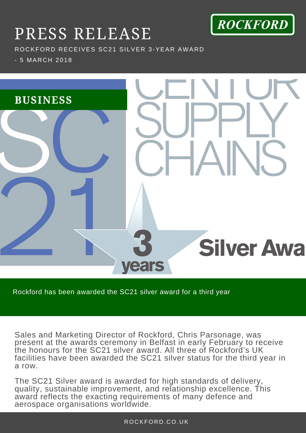

## PRESS RELEASE

ROCKFORD RECEIVES SC21 SILVER 3-YEAR AWARD

- 5 MARCH 2018



Rockford has been awarded the SC21 silver award for a third year

Sales and Marketing Director of Rockford, Chris Parsonage, was present at the awards ceremony in Belfast in early February to receive the honours for the SC21 silver award. All three of Rockford's UK facilities have been awarded the SC21 silver status for the third year in a row.

The SC21 Silver award is awarded for high standards of delivery, quality, sustainable improvement, and relationship excellence. This award reflects the exacting requirements of many defence and aerospace organisations worldwide.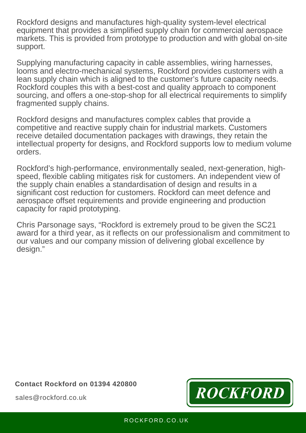Rockford designs and manufactures high-quality system-level electrical equipment that provides a simplified supply chain for commercial aerospace markets. This is provided from prototype to production and with global on-site support.

Supplying manufacturing capacity in cable assemblies, wiring harnesses, looms and electro-mechanical systems, Rockford provides customers with a lean supply chain which is aligned to the customer's future capacity needs. Rockford couples this with a best-cost and quality approach to component sourcing, and offers a one-stop-shop for all electrical requirements to simplify fragmented supply chains.

Rockford designs and manufactures complex cables that provide a competitive and reactive supply chain for industrial markets. Customers receive detailed documentation packages with drawings, they retain the intellectual property for designs, and Rockford supports low to medium volume orders.

Rockford's high-performance, environmentally sealed, next-generation, highspeed, flexible cabling mitigates risk for customers. An independent view of the supply chain enables a standardisation of design and results in a significant cost reduction for customers. Rockford can meet defence and aerospace offset requirements and provide engineering and production capacity for rapid prototyping.

 $T$  . The customer chose to work with Rockford because of the established pedigree pedigree pedigree pedigree pedigree pedigree pedigree pedigree pedigree pedigree pedigree pedigree pedigree pedigree pedigree pedigree ped *F* and our company mission of delivering global excellence by Chris Parsonage says, "Rockford is extremely proud to be given the SC21 award for a third year, as it reflects on our professionalism and commitment to design."

**Contact Rockford on 01394 420800**



sales@rockford.co.uk